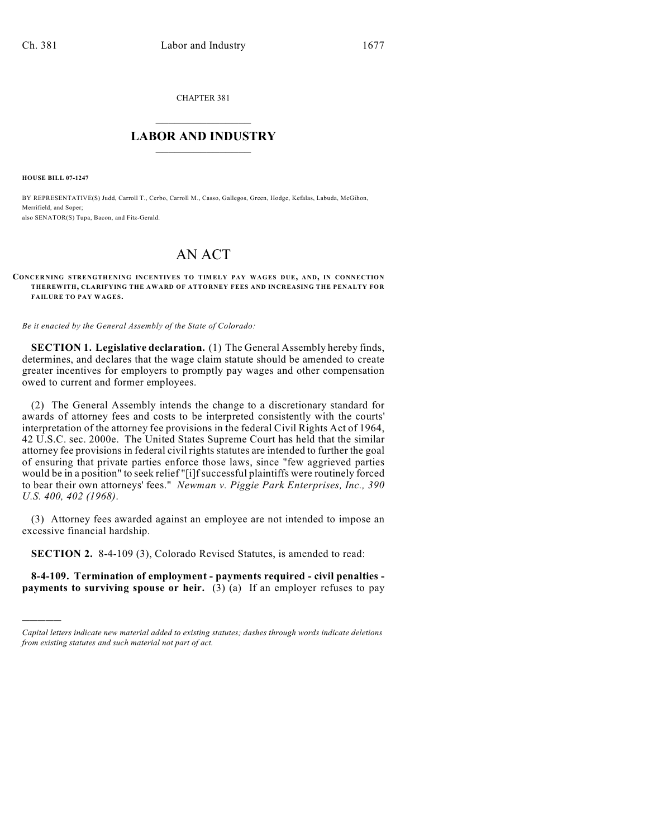CHAPTER 381

## $\overline{\phantom{a}}$  . The set of the set of the set of the set of the set of the set of the set of the set of the set of the set of the set of the set of the set of the set of the set of the set of the set of the set of the set o **LABOR AND INDUSTRY**  $\frac{1}{\sqrt{2}}$  ,  $\frac{1}{\sqrt{2}}$  ,  $\frac{1}{\sqrt{2}}$  ,  $\frac{1}{\sqrt{2}}$  ,  $\frac{1}{\sqrt{2}}$  ,  $\frac{1}{\sqrt{2}}$

**HOUSE BILL 07-1247**

)))))

BY REPRESENTATIVE(S) Judd, Carroll T., Cerbo, Carroll M., Casso, Gallegos, Green, Hodge, Kefalas, Labuda, McGihon, Merrifield, and Soper; also SENATOR(S) Tupa, Bacon, and Fitz-Gerald.

## AN ACT

## **CONCERNING STRENGTHENING INCENTIVES TO TIMELY PAY WAGES DUE, AND, IN CONNECTION THEREWITH, CLARIFYING THE AWARD OF ATTORNEY FEES AND INCREASING THE PENALTY FOR FAILURE TO PAY WAGES.**

*Be it enacted by the General Assembly of the State of Colorado:*

**SECTION 1. Legislative declaration.** (1) The General Assembly hereby finds, determines, and declares that the wage claim statute should be amended to create greater incentives for employers to promptly pay wages and other compensation owed to current and former employees.

(2) The General Assembly intends the change to a discretionary standard for awards of attorney fees and costs to be interpreted consistently with the courts' interpretation of the attorney fee provisions in the federal Civil Rights Act of 1964, 42 U.S.C. sec. 2000e. The United States Supreme Court has held that the similar attorney fee provisions in federal civil rights statutes are intended to further the goal of ensuring that private parties enforce those laws, since "few aggrieved parties would be in a position" to seek relief "[i]f successful plaintiffs were routinely forced to bear their own attorneys' fees." *Newman v. Piggie Park Enterprises, Inc., 390 U.S. 400, 402 (1968)*.

(3) Attorney fees awarded against an employee are not intended to impose an excessive financial hardship.

**SECTION 2.** 8-4-109 (3), Colorado Revised Statutes, is amended to read:

**8-4-109. Termination of employment - payments required - civil penalties payments to surviving spouse or heir.** (3) (a) If an employer refuses to pay

*Capital letters indicate new material added to existing statutes; dashes through words indicate deletions from existing statutes and such material not part of act.*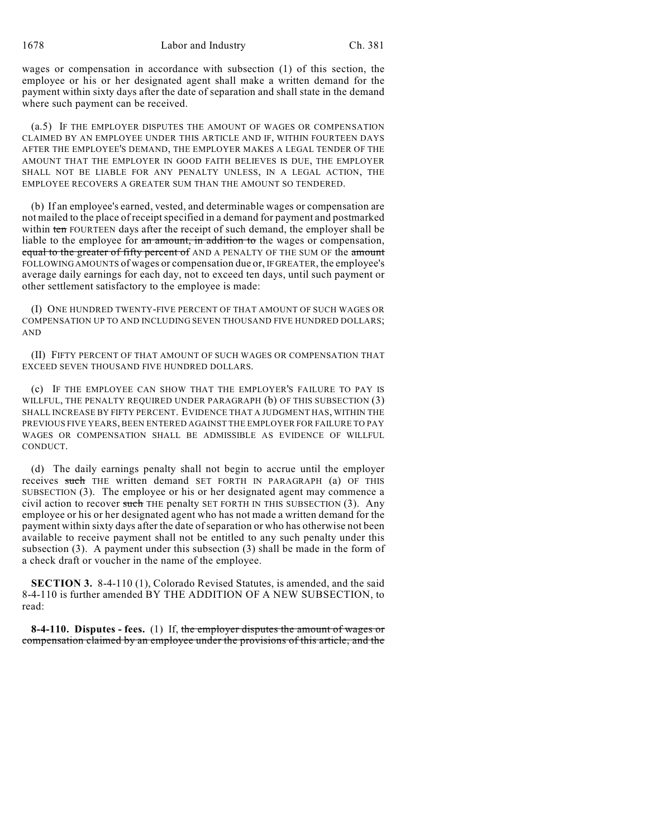wages or compensation in accordance with subsection (1) of this section, the employee or his or her designated agent shall make a written demand for the payment within sixty days after the date of separation and shall state in the demand where such payment can be received.

(a.5) IF THE EMPLOYER DISPUTES THE AMOUNT OF WAGES OR COMPENSATION CLAIMED BY AN EMPLOYEE UNDER THIS ARTICLE AND IF, WITHIN FOURTEEN DAYS AFTER THE EMPLOYEE'S DEMAND, THE EMPLOYER MAKES A LEGAL TENDER OF THE AMOUNT THAT THE EMPLOYER IN GOOD FAITH BELIEVES IS DUE, THE EMPLOYER SHALL NOT BE LIABLE FOR ANY PENALTY UNLESS, IN A LEGAL ACTION, THE EMPLOYEE RECOVERS A GREATER SUM THAN THE AMOUNT SO TENDERED.

(b) If an employee's earned, vested, and determinable wages or compensation are not mailed to the place of receipt specified in a demand for payment and postmarked within ten FOURTEEN days after the receipt of such demand, the employer shall be liable to the employee for an amount, in addition to the wages or compensation, equal to the greater of fifty percent of AND A PENALTY OF THE SUM OF the amount FOLLOWING AMOUNTS of wages or compensation due or, IF GREATER, the employee's average daily earnings for each day, not to exceed ten days, until such payment or other settlement satisfactory to the employee is made:

(I) ONE HUNDRED TWENTY-FIVE PERCENT OF THAT AMOUNT OF SUCH WAGES OR COMPENSATION UP TO AND INCLUDING SEVEN THOUSAND FIVE HUNDRED DOLLARS; AND

(II) FIFTY PERCENT OF THAT AMOUNT OF SUCH WAGES OR COMPENSATION THAT EXCEED SEVEN THOUSAND FIVE HUNDRED DOLLARS.

(c) IF THE EMPLOYEE CAN SHOW THAT THE EMPLOYER'S FAILURE TO PAY IS WILLFUL, THE PENALTY REQUIRED UNDER PARAGRAPH (b) OF THIS SUBSECTION (3) SHALL INCREASE BY FIFTY PERCENT. EVIDENCE THAT A JUDGMENT HAS, WITHIN THE PREVIOUS FIVE YEARS, BEEN ENTERED AGAINST THE EMPLOYER FOR FAILURE TO PAY WAGES OR COMPENSATION SHALL BE ADMISSIBLE AS EVIDENCE OF WILLFUL CONDUCT.

(d) The daily earnings penalty shall not begin to accrue until the employer receives such THE written demand SET FORTH IN PARAGRAPH (a) OF THIS SUBSECTION (3). The employee or his or her designated agent may commence a civil action to recover such THE penalty SET FORTH IN THIS SUBSECTION (3). Any employee or his or her designated agent who has not made a written demand for the payment within sixty days after the date ofseparation or who has otherwise not been available to receive payment shall not be entitled to any such penalty under this subsection (3). A payment under this subsection (3) shall be made in the form of a check draft or voucher in the name of the employee.

**SECTION 3.** 8-4-110 (1), Colorado Revised Statutes, is amended, and the said 8-4-110 is further amended BY THE ADDITION OF A NEW SUBSECTION, to read:

**8-4-110. Disputes - fees.** (1) If, the employer disputes the amount of wages or compensation claimed by an employee under the provisions of this article, and the